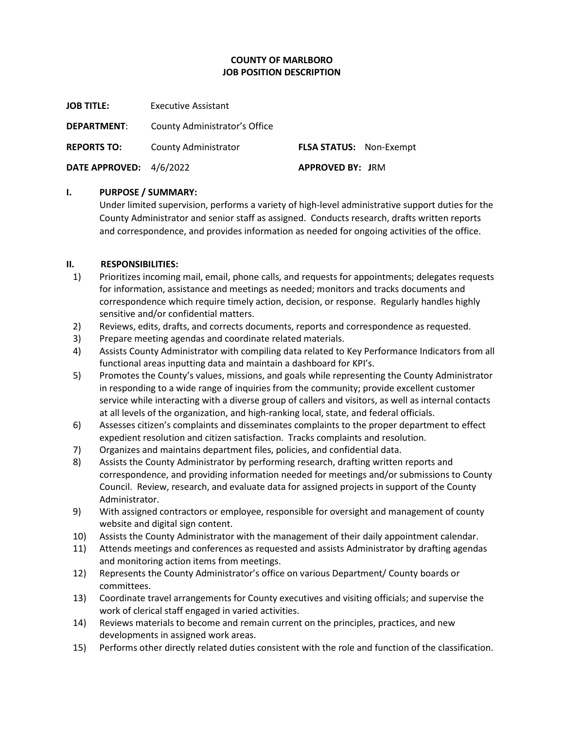# **COUNTY OF MARLBORO JOB POSITION DESCRIPTION**

**JOB TITLE:** Executive Assistant

**DEPARTMENT**: County Administrator's Office

**REPORTS TO:** County Administrator **FLSA STATUS:** Non-Exempt

**DATE APPROVED:** 4/6/2022 **APPROVED BY: JRM** 

#### **I. PURPOSE / SUMMARY:**

Under limited supervision, performs a variety of high-level administrative support duties for the County Administrator and senior staff as assigned. Conducts research, drafts written reports and correspondence, and provides information as needed for ongoing activities of the office.

## **II. RESPONSIBILITIES:**

- 1) Prioritizes incoming mail, email, phone calls, and requests for appointments; delegates requests for information, assistance and meetings as needed; monitors and tracks documents and correspondence which require timely action, decision, or response. Regularly handles highly sensitive and/or confidential matters.
- 2) Reviews, edits, drafts, and corrects documents, reports and correspondence as requested.
- 3) Prepare meeting agendas and coordinate related materials.
- 4) Assists County Administrator with compiling data related to Key Performance Indicators from all functional areas inputting data and maintain a dashboard for KPI's.
- 5) Promotes the County's values, missions, and goals while representing the County Administrator in responding to a wide range of inquiries from the community; provide excellent customer service while interacting with a diverse group of callers and visitors, as well as internal contacts at all levels of the organization, and high-ranking local, state, and federal officials.
- 6) Assesses citizen's complaints and disseminates complaints to the proper department to effect expedient resolution and citizen satisfaction. Tracks complaints and resolution.
- 7) Organizes and maintains department files, policies, and confidential data.
- 8) Assists the County Administrator by performing research, drafting written reports and correspondence, and providing information needed for meetings and/or submissions to County Council. Review, research, and evaluate data for assigned projects in support of the County Administrator.
- 9) With assigned contractors or employee, responsible for oversight and management of county website and digital sign content.
- 10) Assists the County Administrator with the management of their daily appointment calendar.
- 11) Attends meetings and conferences as requested and assists Administrator by drafting agendas and monitoring action items from meetings.
- 12) Represents the County Administrator's office on various Department/ County boards or committees.
- 13) Coordinate travel arrangements for County executives and visiting officials; and supervise the work of clerical staff engaged in varied activities.
- 14) Reviews materials to become and remain current on the principles, practices, and new developments in assigned work areas.
- 15) Performs other directly related duties consistent with the role and function of the classification.